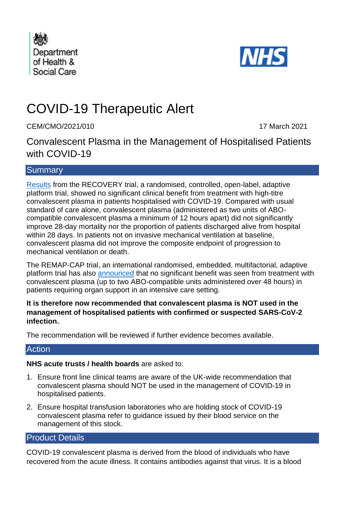



# COVID-19 Therapeutic Alert

CEM/CMO/2021/010 17 March 2021

Convalescent Plasma in the Management of Hospitalised Patients with COVID-19

## **Summary**

[Results](https://www.medrxiv.org/content/10.1101/2021.03.09.21252736v1) from the RECOVERY trial, a randomised, controlled, open-label, adaptive platform trial, showed no significant clinical benefit from treatment with high-titre convalescent plasma in patients hospitalised with COVID-19. Compared with usual standard of care alone, convalescent plasma (administered as two units of ABOcompatible convalescent plasma a minimum of 12 hours apart) did not significantly improve 28-day mortality nor the proportion of patients discharged alive from hospital within 28 days. In patients not on invasive mechanical ventilation at baseline, convalescent plasma did not improve the composite endpoint of progression to mechanical ventilation or death.

The REMAP-CAP trial, an international randomised, embedded, multifactorial, adaptive platform trial has also [announced](https://www.imperial.ac.uk/news/211493/blood-plasma-treatment-limited-effect-sickest/) that no significant benefit was seen from treatment with convalescent plasma (up to two ABO-compatible units administered over 48 hours) in patients requiring organ support in an intensive care setting.

#### **It is therefore now recommended that convalescent plasma is NOT used in the management of hospitalised patients with confirmed or suspected SARS-CoV-2 infection.**

The recommendation will be reviewed if further evidence becomes available.

## **Action**

## **NHS acute trusts / health boards** are asked to:

- 1. Ensure front line clinical teams are aware of the UK-wide recommendation that convalescent plasma should NOT be used in the management of COVID-19 in hospitalised patients.
- 2. Ensure hospital transfusion laboratories who are holding stock of COVID-19 convalescent plasma refer to guidance issued by their blood service on the management of this stock.

# Product Details

COVID-19 convalescent plasma is derived from the blood of individuals who have recovered from the acute illness. It contains antibodies against that virus. It is a blood